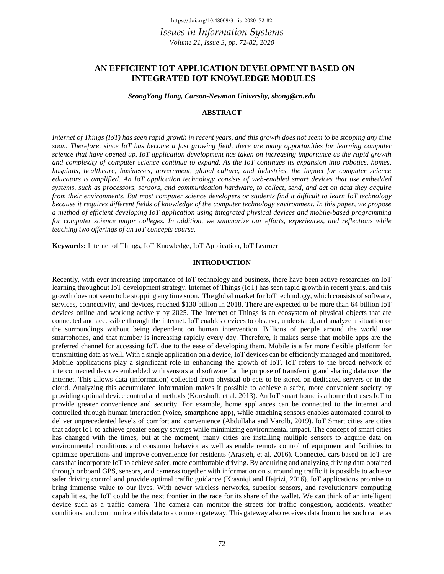# **AN EFFICIENT IOT APPLICATION DEVELOPMENT BASED ON INTEGRATED IOT KNOWLEDGE MODULES**

*SeongYong Hong, Carson-Newman University, shong@cn.edu*

#### **ABSTRACT**

*Internet of Things (IoT) has seen rapid growth in recent years, and this growth does not seem to be stopping any time soon. Therefore, since IoT has become a fast growing field, there are many opportunities for learning computer science that have opened up. IoT application development has taken on increasing importance as the rapid growth and complexity of computer science continue to expand. As the IoT continues its expansion into robotics, homes, hospitals, healthcare, businesses, government, global culture, and industries, the impact for computer science educators is amplified. An IoT application technology consists of web-enabled smart devices that use embedded systems, such as processors, sensors, and communication hardware, to collect, send, and act on data they acquire from their environments. But most computer science developers or students find it difficult to learn IoT technology because it requires different fields of knowledge of the computer technology environment. In this paper, we propose a method of efficient developing IoT application using integrated physical devices and mobile-based programming for computer science major colleges. In addition, we summarize our efforts, experiences, and reflections while teaching two offerings of an IoT concepts course.*

**Keywords:** Internet of Things, IoT Knowledge, IoT Application, IoT Learner

#### **INTRODUCTION**

Recently, with ever increasing importance of IoT technology and business, there have been active researches on IoT learning throughout IoT development strategy. Internet of Things (IoT) has seen rapid growth in recent years, and this growth does not seem to be stopping any time soon. The global market for IoT technology, which consists of software, services, connectivity, and devices, reached \$130 billion in 2018. There are expected to be more than 64 billion IoT devices online and working actively by 2025. The Internet of Things is an ecosystem of physical objects that are connected and accessible through the internet. IoT enables devices to observe, understand, and analyze a situation or the surroundings without being dependent on human intervention. Billions of people around the world use smartphones, and that number is increasing rapidly every day. Therefore, it makes sense that mobile apps are the preferred channel for accessing IoT, due to the ease of developing them. Mobile is a far more flexible platform for transmitting data as well. With a single application on a device, IoT devices can be efficiently managed and monitored. Mobile applications play a significant role in enhancing the growth of IoT. IoT refers to the broad network of interconnected devices embedded with sensors and software for the purpose of transferring and sharing data over the internet. This allows data (information) collected from physical objects to be stored on dedicated servers or in the cloud. Analyzing this accumulated information makes it possible to achieve a safer, more convenient society by providing optimal device control and methods (Koreshoff, et al. 2013). An IoT smart home is a home that uses IoT to provide greater convenience and security. For example, home appliances can be connected to the internet and controlled through human interaction (voice, smartphone app), while attaching sensors enables automated control to deliver unprecedented levels of comfort and convenience (Abdullaha and Varolb, 2019). IoT Smart cities are cities that adopt IoT to achieve greater energy savings while minimizing environmental impact. The concept of smart cities has changed with the times, but at the moment, many cities are installing multiple sensors to acquire data on environmental conditions and consumer behavior as well as enable remote control of equipment and facilities to optimize operations and improve convenience for residents (Arasteh, et al. 2016). Connected cars based on IoT are cars that incorporate IoT to achieve safer, more comfortable driving. By acquiring and analyzing driving data obtained through onboard GPS, sensors, and cameras together with information on surrounding traffic it is possible to achieve safer driving control and provide optimal traffic guidance (Krasniqi and Hajrizi, 2016). IoT applications promise to bring immense value to our lives. With newer wireless networks, superior sensors, and revolutionary computing capabilities, the IoT could be the next frontier in the race for its share of the wallet. We can think of an intelligent device such as a traffic camera. The camera can monitor the streets for traffic congestion, accidents, weather conditions, and communicate this data to a common gateway. This gateway also receives data from other such cameras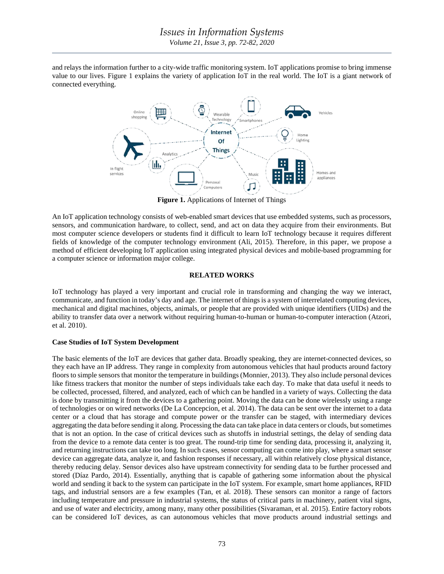and relays the information further to a city-wide traffic monitoring system. IoT applications promise to bring immense value to our lives. Figure 1 explains the variety of application IoT in the real world. The IoT is a giant network of connected everything.



**Figure 1.** Applications of Internet of Things

An IoT application technology consists of web-enabled smart devices that use embedded systems, such as processors, sensors, and communication hardware, to collect, send, and act on data they acquire from their environments. But most computer science developers or students find it difficult to learn IoT technology because it requires different fields of knowledge of the computer technology environment (Ali, 2015). Therefore, in this paper, we propose a method of efficient developing IoT application using integrated physical devices and mobile-based programming for a computer science or information major college.

## **RELATED WORKS**

IoT technology has played a very important and crucial role in transforming and changing the way we interact, communicate, and function in today's day and age. The internet of things is a system of interrelated computing devices, mechanical and digital machines, objects, animals, or people that are provided with unique identifiers (UIDs) and the ability to transfer data over a network without requiring human-to-human or human-to-computer interaction (Atzori, et al. 2010).

### **Case Studies of IoT System Development**

The basic elements of the IoT are devices that gather data. Broadly speaking, they are internet-connected devices, so they each have an IP address. They range in complexity from autonomous vehicles that haul products around factory floors to simple sensors that monitor the temperature in buildings (Monnier, 2013). They also include personal devices like fitness trackers that monitor the number of steps individuals take each day. To make that data useful it needs to be collected, processed, filtered, and analyzed, each of which can be handled in a variety of ways. Collecting the data is done by transmitting it from the devices to a gathering point. Moving the data can be done wirelessly using a range of technologies or on wired networks (De La Concepcion, et al. 2014). The data can be sent over the internet to a data center or a cloud that has storage and compute power or the transfer can be staged, with intermediary devices aggregating the data before sending it along. Processing the data can take place in data centers or clouds, but sometimes that is not an option. In the case of critical devices such as shutoffs in industrial settings, the delay of sending data from the device to a remote data center is too great. The round-trip time for sending data, processing it, analyzing it, and returning instructions can take too long. In such cases, sensor computing can come into play, where a smart sensor device can aggregate data, analyze it, and fashion responses if necessary, all within relatively close physical distance, thereby reducing delay. Sensor devices also have upstream connectivity for sending data to be further processed and stored (Díaz Pardo, 2014). Essentially, anything that is capable of gathering some information about the physical world and sending it back to the system can participate in the IoT system. For example, smart home appliances, RFID tags, and industrial sensors are a few examples (Tan, et al. 2018). These sensors can monitor a range of factors including temperature and pressure in industrial systems, the status of critical parts in machinery, patient vital signs, and use of water and electricity, among many, many other possibilities (Sivaraman, et al. 2015). Entire factory robots can be considered IoT devices, as can autonomous vehicles that move products around industrial settings and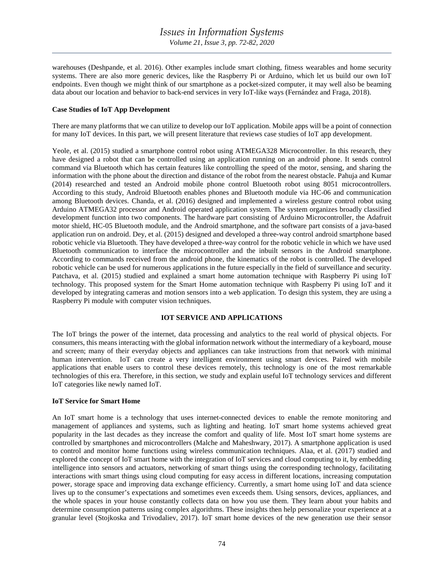warehouses (Deshpande, et al. 2016). Other examples include smart clothing, fitness wearables and home security systems. There are also more generic devices, like the Raspberry Pi or Arduino, which let us build our own IoT endpoints. Even though we might think of our smartphone as a pocket-sized computer, it may well also be beaming data about our location and behavior to back-end services in very IoT-like ways (Fernández and Fraga, 2018).

#### **Case Studies of IoT App Development**

There are many platforms that we can utilize to develop our IoT application. Mobile apps will be a point of connection for many IoT devices. In this part, we will present literature that reviews case studies of IoT app development.

Yeole, et al. (2015) studied a smartphone control robot using ATMEGA328 Microcontroller. In this research, they have designed a robot that can be controlled using an application running on an android phone. It sends control command via Bluetooth which has certain features like controlling the speed of the motor, sensing, and sharing the information with the phone about the direction and distance of the robot from the nearest obstacle. Pahuja and Kumar (2014) researched and tested an Android mobile phone control Bluetooth robot using 8051 microcontrollers. According to this study, Android Bluetooth enables phones and Bluetooth module via HC-06 and communication among Bluetooth devices. Chanda, et al. (2016) designed and implemented a wireless gesture control robot using Arduino ATMEGA32 processor and Android operated application system. The system organizes broadly classified development function into two components. The hardware part consisting of Arduino Microcontroller, the Adafruit motor shield, HC-05 Bluetooth module, and the Android smartphone, and the software part consists of a java-based application run on android. Dey, et al. (2015) designed and developed a three-way control android smartphone based robotic vehicle via Bluetooth. They have developed a three-way control for the robotic vehicle in which we have used Bluetooth communication to interface the microcontroller and the inbuilt sensors in the Android smartphone. According to commands received from the android phone, the kinematics of the robot is controlled. The developed robotic vehicle can be used for numerous applications in the future especially in the field of surveillance and security. Patchava, et al. (2015) studied and explained a smart home automation technique with Raspberry Pi using IoT technology. This proposed system for the Smart Home automation technique with Raspberry Pi using IoT and it developed by integrating cameras and motion sensors into a web application. To design this system, they are using a Raspberry Pi module with computer vision techniques.

#### **IOT SERVICE AND APPLICATIONS**

The IoT brings the power of the internet, data processing and analytics to the real world of physical objects. For consumers, this means interacting with the global information network without the intermediary of a keyboard, mouse and screen; many of their everyday objects and appliances can take instructions from that network with minimal human intervention. IoT can create a very intelligent environment using smart devices. Paired with mobile applications that enable users to control these devices remotely, this technology is one of the most remarkable technologies of this era. Therefore, in this section, we study and explain useful IoT technology services and different IoT categories like newly named IoT.

#### **IoT Service for Smart Home**

An IoT smart home is a technology that uses internet-connected devices to enable the remote monitoring and management of appliances and systems, such as lighting and heating. IoT smart home systems achieved great popularity in the last decades as they increase the comfort and quality of life. Most IoT smart home systems are controlled by smartphones and microcontrollers (Malche and Maheshwary, 2017). A smartphone application is used to control and monitor home functions using wireless communication techniques. Alaa, et al. (2017) studied and explored the concept of IoT smart home with the integration of IoT services and cloud computing to it, by embedding intelligence into sensors and actuators, networking of smart things using the corresponding technology, facilitating interactions with smart things using cloud computing for easy access in different locations, increasing computation power, storage space and improving data exchange efficiency. Currently, a smart home using IoT and data science lives up to the consumer's expectations and sometimes even exceeds them. Using sensors, devices, appliances, and the whole spaces in your house constantly collects data on how you use them. They learn about your habits and determine consumption patterns using complex algorithms. These insights then help personalize your experience at a granular level (Stojkoska and Trivodaliev, 2017). IoT smart home devices of the new generation use their sensor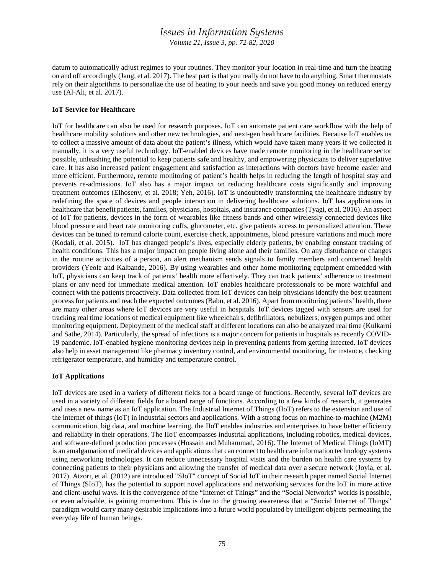datum to automatically adjust regimes to your routines. They monitor your location in real-time and turn the heating on and off accordingly (Jang, et al. 2017). The best part is that you really do not have to do anything. Smart thermostats rely on their algorithms to personalize the use of heating to your needs and save you good money on reduced energy use (Al-Ali, et al. 2017).

## **IoT Service for Healthcare**

IoT for healthcare can also be used for research purposes. IoT can automate patient care workflow with the help of healthcare mobility solutions and other new technologies, and next-gen healthcare facilities. Because IoT enables us to collect a massive amount of data about the patient's illness, which would have taken many years if we collected it manually, it is a very useful technology. IoT-enabled devices have made remote monitoring in the healthcare sector possible, unleashing the potential to keep patients safe and healthy, and empowering physicians to deliver superlative care. It has also increased patient engagement and satisfaction as interactions with doctors have become easier and more efficient. Furthermore, remote monitoring of patient's health helps in reducing the length of hospital stay and prevents re-admissions. IoT also has a major impact on reducing healthcare costs significantly and improving treatment outcomes (Elhoseny, et al. 2018; Yeh, 2016). IoT is undoubtedly transforming the healthcare industry by redefining the space of devices and people interaction in delivering healthcare solutions. IoT has applications in healthcare that benefit patients, families, physicians, hospitals, and insurance companies (Tyagi, et al. 2016). An aspect of IoT for patients, devices in the form of wearables like fitness bands and other wirelessly connected devices like blood pressure and heart rate monitoring cuffs, glucometer, etc. give patients access to personalized attention. These devices can be tuned to remind calorie count, exercise check, appointments, blood pressure variations and much more (Kodali, et al. 2015). IoT has changed people's lives, especially elderly patients, by enabling constant tracking of health conditions. This has a major impact on people living alone and their families. On any disturbance or changes in the routine activities of a person, an alert mechanism sends signals to family members and concerned health providers (Yeole and Kalbande, 2016). By using wearables and other home monitoring equipment embedded with IoT, physicians can keep track of patients' health more effectively. They can track patients' adherence to treatment plans or any need for immediate medical attention. IoT enables healthcare professionals to be more watchful and connect with the patients proactively. Data collected from IoT devices can help physicians identify the best treatment process for patients and reach the expected outcomes (Babu, et al. 2016). Apart from monitoring patients' health, there are many other areas where IoT devices are very useful in hospitals. IoT devices tagged with sensors are used for tracking real time locations of medical equipment like wheelchairs, defibrillators, nebulizers, oxygen pumps and other monitoring equipment. Deployment of the medical staff at different locations can also be analyzed real time (Kulkarni and Sathe, 2014). Particularly, the spread of infections is a major concern for patients in hospitals as recently COVID-19 pandemic. IoT-enabled hygiene monitoring devices help in preventing patients from getting infected. IoT devices also help in asset management like pharmacy inventory control, and environmental monitoring, for instance, checking refrigerator temperature, and humidity and temperature control.

### **IoT Applications**

IoT devices are used in a variety of different fields for a board range of functions. Recently, several IoT devices are used in a variety of different fields for a board range of functions. According to a few kinds of research, it generates and uses a new name as an IoT application. The Industrial Internet of Things (IIoT) refers to the extension and use of the internet of things (IoT) in industrial sectors and applications. With a strong focus on machine-to-machine (M2M) communication, big data, and machine learning, the IIoT enables industries and enterprises to have better efficiency and reliability in their operations. The IIoT encompasses industrial applications, including robotics, medical devices, and software-defined production processes (Hossain and Muhammad, 2016). The Internet of Medical Things (IoMT) is an amalgamation of medical devices and applications that can connect to health care information technology systems using networking technologies. It can reduce unnecessary hospital visits and the burden on health care systems by connecting patients to their physicians and allowing the transfer of medical data over a secure network (Joyia, et al. 2017). Atzori, et al. (2012) are introduced "SIoT" concept of Social IoT in their research paper named Social Internet of Things (SIoT), has the potential to support novel applications and networking services for the IoT in more active and client-useful ways. It is the convergence of the "Internet of Things" and the "Social Networks" worlds is possible, or even advisable, is gaining momentum. This is due to the growing awareness that a "Social Internet of Things" paradigm would carry many desirable implications into a future world populated by intelligent objects permeating the everyday life of human beings.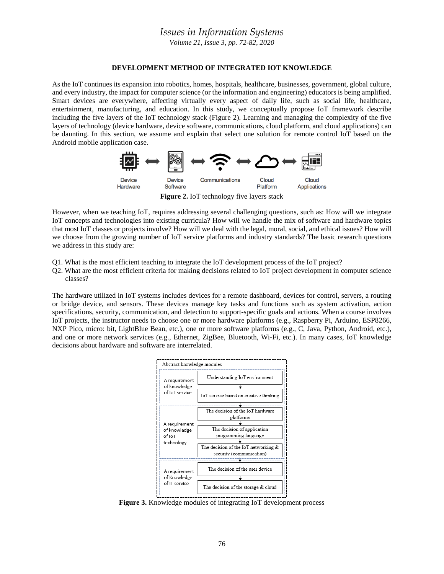## **DEVELOPMENT METHOD OF INTEGRATED IOT KNOWLEDGE**

As the IoT continues its expansion into robotics, homes, hospitals, healthcare, businesses, government, global culture, and every industry, the impact for computer science (or the information and engineering) educators is being amplified. Smart devices are everywhere, affecting virtually every aspect of daily life, such as social life, healthcare, entertainment, manufacturing, and education. In this study, we conceptually propose IoT framework describe including the five layers of the IoT technology stack (Figure 2). Learning and managing the complexity of the five layers of technology (device hardware, device software, communications, cloud platform, and cloud applications) can be daunting. In this section, we assume and explain that select one solution for remote control IoT based on the Android mobile application case.



**Figure 2.** IoT technology five layers stack

However, when we teaching IoT, requires addressing several challenging questions, such as: How will we integrate IoT concepts and technologies into existing curricula? How will we handle the mix of software and hardware topics that most IoT classes or projects involve? How will we deal with the legal, moral, social, and ethical issues? How will we choose from the growing number of IoT service platforms and industry standards? The basic research questions we address in this study are:

- Q1. What is the most efficient teaching to integrate the IoT development process of the IoT project?
- Q2. What are the most efficient criteria for making decisions related to IoT project development in computer science classes?

The hardware utilized in IoT systems includes devices for a remote dashboard, devices for control, servers, a routing or bridge device, and sensors. These devices manage key tasks and functions such as system activation, action specifications, security, communication, and detection to support-specific goals and actions. When a course involves IoT projects, the instructor needs to choose one or more hardware platforms (e.g., Raspberry Pi, Arduino, ESP8266, NXP Pico, micro: bit, LightBlue Bean, etc.), one or more software platforms (e.g., C, Java, Python, Android, etc.), and one or more network services (e.g., Ethernet, ZigBee, Bluetooth, Wi-Fi, etc.). In many cases, IoT knowledge decisions about hardware and software are interrelated.



**Figure 3.** Knowledge modules of integrating IoT development process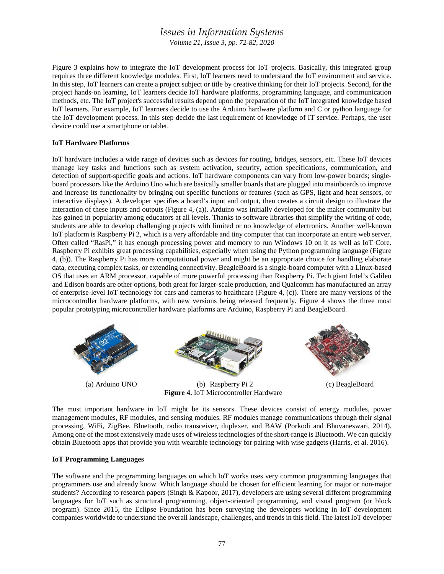Figure 3 explains how to integrate the IoT development process for IoT projects. Basically, this integrated group requires three different knowledge modules. First, IoT learners need to understand the IoT environment and service. In this step, IoT learners can create a project subject or title by creative thinking for their IoT projects. Second, for the project hands-on learning, IoT learners decide IoT hardware platforms, programming language, and communication methods, etc. The IoT project's successful results depend upon the preparation of the IoT integrated knowledge based IoT learners. For example, IoT learners decide to use the Arduino hardware platform and C or python language for the IoT development process. In this step decide the last requirement of knowledge of IT service. Perhaps, the user device could use a smartphone or tablet.

### **IoT Hardware Platforms**

IoT hardware includes a wide range of devices such as devices for routing, bridges, sensors, etc. These IoT devices manage key tasks and functions such as system activation, security, action specifications, communication, and detection of support-specific goals and actions. IoT hardware components can vary from low-power boards; singleboard processors like the Arduino Uno which are basically smaller boards that are plugged into mainboards to improve and increase its functionality by bringing out specific functions or features (such as GPS, light and heat sensors, or interactive displays). A developer specifies a board's input and output, then creates a circuit design to illustrate the interaction of these inputs and outputs (Figure 4, (a)). Arduino was initially developed for the maker community but has gained in popularity among educators at all levels. Thanks to software libraries that simplify the writing of code, students are able to develop challenging projects with limited or no knowledge of electronics. Another well-known IoT platform is Raspberry Pi 2, which is a very affordable and tiny computer that can incorporate an entire web server. Often called "RasPi," it has enough processing power and memory to run Windows 10 on it as well as IoT Core. Raspberry Pi exhibits great processing capabilities, especially when using the Python programming language (Figure 4, (b)). The Raspberry Pi has more computational power and might be an appropriate choice for handling elaborate data, executing complex tasks, or extending connectivity. BeagleBoard is a single-board computer with a Linux-based OS that uses an ARM processor, capable of more powerful processing than Raspberry Pi. Tech giant Intel's Galileo and Edison boards are other options, both great for larger-scale production, and Qualcomm has manufactured an array of enterprise-level IoT technology for cars and cameras to healthcare (Figure 4, (c)). There are many versions of the microcontroller hardware platforms, with new versions being released frequently. Figure 4 shows the three most popular prototyping microcontroller hardware platforms are Arduino, Raspberry Pi and BeagleBoard.



**Figure 4.** IoT Microcontroller Hardware

The most important hardware in IoT might be its sensors. These devices consist of energy modules, power management modules, RF modules, and sensing modules. RF modules manage communications through their signal processing, WiFi, ZigBee, Bluetooth, radio transceiver, duplexer, and BAW (Porkodi and Bhuvaneswari, 2014). Among one of the most extensively made uses of wireless technologies of the short-range is Bluetooth. We can quickly obtain Bluetooth apps that provide you with wearable technology for pairing with wise gadgets (Harris, et al. 2016).

### **IoT Programming Languages**

The software and the programming languages on which IoT works uses very common programming languages that programmers use and already know. Which language should be chosen for efficient learning for major or non-major students? According to research papers (Singh & Kapoor, 2017), developers are using several different programming languages for IoT such as structural programming, object-oriented programming, and visual program (or block program). Since 2015, the Eclipse Foundation has been surveying the developers working in IoT development companies worldwide to understand the overall landscape, challenges, and trends in this field. The latest IoT developer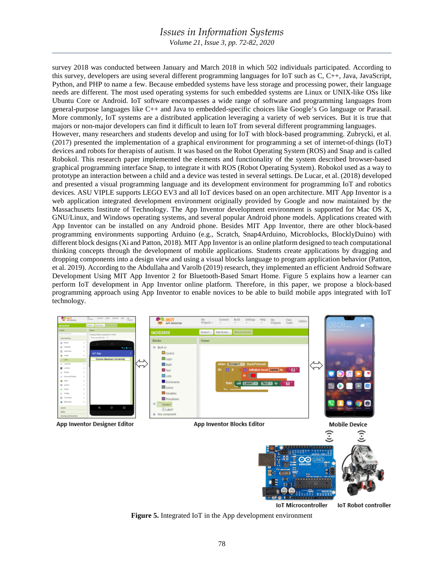*Volume 21, Issue 3, pp. 72-82, 2020*

survey 2018 was conducted between January and March 2018 in which 502 individuals participated. According to this survey, developers are using several different programming languages for IoT such as C, C++, Java, JavaScript, Python, and PHP to name a few. Because embedded systems have less storage and processing power, their language needs are different. The most used operating systems for such embedded systems are Linux or UNIX-like OSs like Ubuntu Core or Android. IoT software encompasses a wide range of software and programming languages from general-purpose languages like C++ and Java to embedded-specific choices like Google's Go language or Parasail. More commonly, IoT systems are a distributed application leveraging a variety of web services. But it is true that majors or non-major developers can find it difficult to learn IoT from several different programming languages. However, many researchers and students develop and using for IoT with block-based programming. Zubrycki, et al. (2017) presented the implementation of a graphical environment for programming a set of internet-of-things (IoT) devices and robots for therapists of autism. It was based on the Robot Operating System (ROS) and Snap and is called Robokol. This research paper implemented the elements and functionality of the system described browser-based graphical programming interface Snap, to integrate it with ROS (Robot Operating System). Robokol used as a way to prototype an interaction between a child and a device was tested in several settings. De Lucar, et al. (2018) developed and presented a visual programming language and its development environment for programming IoT and robotics devices. ASU VIPLE supports LEGO EV3 and all IoT devices based on an open architecture. MIT App Inventor is a web application integrated development environment originally provided by Google and now maintained by the Massachusetts Institute of Technology. The App Inventor development environment is supported for Mac OS X, GNU/Linux, and Windows operating systems, and several popular Android phone models. Applications created with App Inventor can be installed on any Android phone. Besides MIT App Inventor, there are other block-based programming environments supporting Arduino (e.g., Scratch, Snap4Arduino, Microblocks, BlocklyDuino) with different block designs (Xi and Patton, 2018). MIT App Inventor is an online platform designed to teach computational thinking concepts through the development of mobile applications. Students create applications by dragging and dropping components into a design view and using a visual blocks language to program application behavior (Patton, et al. 2019). According to the Abdullaha and Varolb (2019) research, they implemented an efficient Android Software Development Using MIT App Inventor 2 for Bluetooth-Based Smart Home. Figure 5 explains how a learner can perform IoT development in App Inventor online platform. Therefore, in this paper, we propose a block-based programming approach using App Inventor to enable novices to be able to build mobile apps integrated with IoT technology.



**Figure 5.** Integrated IoT in the App development environment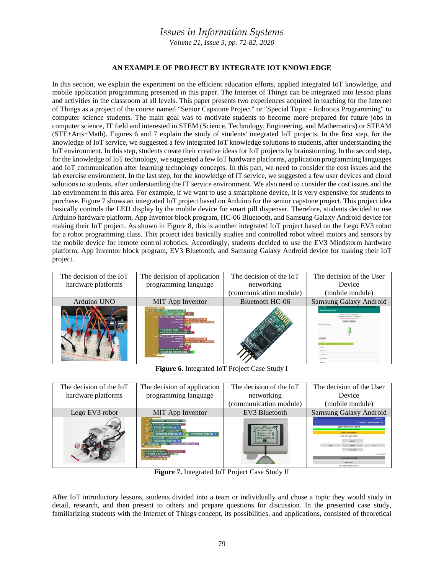## **AN EXAMPLE OF PROJECT BY INTEGRATE IOT KNOWLEDGE**

In this section, we explain the experiment on the efficient education efforts, applied integrated IoT knowledge, and mobile application programming presented in this paper. The Internet of Things can be integrated into lesson plans and activities in the classroom at all levels. This paper presents two experiences acquired in teaching for the Internet of Things as a project of the course named "Senior Capstone Project" or "Special Topic - Robotics Programming" to computer science students. The main goal was to motivate students to become more prepared for future jobs in computer science, IT field and interested in STEM (Science, Technology, Engineering, and Mathematics) or STEAM (STE+Arts+Math). Figures 6 and 7 explain the study of students' integrated IoT projects. In the first step, for the knowledge of IoT service, we suggested a few integrated IoT knowledge solutions to students, after understanding the IoT environment. In this step, students create their creative ideas for IoT projects by brainstorming. In the second step, for the knowledge of IoT technology, we suggested a few IoT hardware platforms, application programming languages and IoT communication after learning technology concepts. In this part, we need to consider the cost issues and the lab exercise environment. In the last step, for the knowledge of IT service, we suggested a few user devices and cloud solutions to students, after understanding the IT service environment. We also need to consider the cost issues and the lab environment in this area. For example, if we want to use a smartphone device, it is very expensive for students to purchase. Figure 7 shows an integrated IoT project based on Arduino for the senior capstone project. This project idea basically controls the LED display by the mobile device for smart pill dispenser. Therefore, students decided to use Arduino hardware platform, App Inventor block program, HC-06 Bluetooth, and Samsung Galaxy Android device for making their IoT project. As shown in Figure 8, this is another integrated IoT project based on the Lego EV3 robot for a robot programming class. This project idea basically studies and controlled robot wheel motors and sensors by the mobile device for remote control robotics. Accordingly, students decided to use the EV3 Mindstorm hardware platform, App Inventor block program, EV3 Bluetooth, and Samsung Galaxy Android device for making their IoT project.

| The decision of the IoT<br>hardware platforms | The decision of application<br>programming language                                                                                                                                                                                                                                                                                       | The decision of the IoT<br>networking<br>(communication module) | The decision of the User<br>Device<br>(mobile module) |
|-----------------------------------------------|-------------------------------------------------------------------------------------------------------------------------------------------------------------------------------------------------------------------------------------------------------------------------------------------------------------------------------------------|-----------------------------------------------------------------|-------------------------------------------------------|
| Arduino UNO                                   | <b>MIT</b> App Inventor                                                                                                                                                                                                                                                                                                                   | Bluetooth HC-06                                                 | <b>Samsung Galaxy Android</b>                         |
|                                               | <b>Luxton's Fig. 11 annal crew sed</b><br><b>EDITION LESS CO</b><br><b>CONTRACTOR</b> Associate<br><b>STATE IN NORTHERN</b><br><b>ALCOHOL: AND RESIDENCE</b><br><b>CONTRACTOR ANTIQUES N'INTER</b><br><b>TRANSPORT OF ASSOCIAT</b><br><b>GITA MAYOR STEEL</b><br><b>OUTHE CHARACTERISTIC LEASE</b><br><b>CONTRACTOR CONTRACTORY IN 18</b> |                                                                 | <b>Becatived Data</b>                                 |

**Figure 6.** Integrated IoT Project Case Study I

| The decision of the IoT | The decision of application                                                                                                                                                                                                                                                                                                                                                                                                                                                                      | The decision of the IoT | The decision of the User                                                                                                                                                                                                                                                                                                      |
|-------------------------|--------------------------------------------------------------------------------------------------------------------------------------------------------------------------------------------------------------------------------------------------------------------------------------------------------------------------------------------------------------------------------------------------------------------------------------------------------------------------------------------------|-------------------------|-------------------------------------------------------------------------------------------------------------------------------------------------------------------------------------------------------------------------------------------------------------------------------------------------------------------------------|
| hardware platforms      | programming language                                                                                                                                                                                                                                                                                                                                                                                                                                                                             | networking              | Device                                                                                                                                                                                                                                                                                                                        |
|                         |                                                                                                                                                                                                                                                                                                                                                                                                                                                                                                  | (communication module)  | (mobile module)                                                                                                                                                                                                                                                                                                               |
| Lego EV3 robot          | MIT App Inventor                                                                                                                                                                                                                                                                                                                                                                                                                                                                                 | EV3 Bluetooth           | <b>Samsung Galaxy Android</b>                                                                                                                                                                                                                                                                                                 |
|                         | <b>A COMMUNIST FORESTS IN 18</b><br>$\frac{1}{2}$ in the state of $\frac{1}{2}$<br><b>FETERER FETER COR FT</b><br><b>BUNIFERS'S LEADERSTONE A. D.</b><br><b>PETREM FIRE OR IT</b><br><b>FORD COURT COMPOSITION</b><br><b>CA CERTAINERS COMPANY</b><br><b>FOR THE R. P. LEWIS CO., LANSING MICH.</b><br>IN FOUNDATION FORM A - ON ESSENTIAL CALIFIES DEMONSTRATION<br>IN ESSINA FOR HIS CASE OF CONTRACT<br><b>CONTRACTOR</b> - INC.<br><b>IN EXAMINATION ENTRANG</b><br><b>STREETS TIREFULNE</b> | <b>REMEDIATION</b>      | (DVIewing) International CV3<br>värminti ramani/-nora3<br>C. Half Graham 3 Insertable included 2 to 1<br><b>Formed diseased CVX</b><br><b>Mente, Nillam Badler of ekilik</b><br><b><i><u>STATISTICS</u></i></b><br><b>MAGE</b><br>1474<br>Inches<br><b>TRANSACT RESIDENT</b><br><b>THE MILL</b><br>Los resignates and struct. |

**Figure 7.** Integrated IoT Project Case Study II

After IoT introductory lessons, students divided into a team or individually and chose a topic they would study in detail, research, and then present to others and prepare questions for discussion. In the presented case study, familiarizing students with the Internet of Things concept, its possibilities, and applications, consisted of theoretical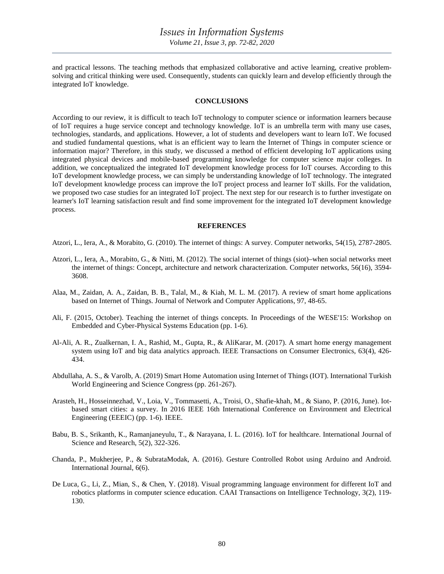and practical lessons. The teaching methods that emphasized collaborative and active learning, creative problemsolving and critical thinking were used. Consequently, students can quickly learn and develop efficiently through the integrated IoT knowledge.

#### **CONCLUSIONS**

According to our review, it is difficult to teach IoT technology to computer science or information learners because of IoT requires a huge service concept and technology knowledge. IoT is an umbrella term with many use cases, technologies, standards, and applications. However, a lot of students and developers want to learn IoT. We focused and studied fundamental questions, what is an efficient way to learn the Internet of Things in computer science or information major? Therefore, in this study, we discussed a method of efficient developing IoT applications using integrated physical devices and mobile-based programming knowledge for computer science major colleges. In addition, we conceptualized the integrated IoT development knowledge process for IoT courses. According to this IoT development knowledge process, we can simply be understanding knowledge of IoT technology. The integrated IoT development knowledge process can improve the IoT project process and learner IoT skills. For the validation, we proposed two case studies for an integrated IoT project. The next step for our research is to further investigate on learner's IoT learning satisfaction result and find some improvement for the integrated IoT development knowledge process.

#### **REFERENCES**

Atzori, L., Iera, A., & Morabito, G. (2010). The internet of things: A survey. Computer networks, 54(15), 2787-2805.

- Atzori, L., Iera, A., Morabito, G., & Nitti, M. (2012). The social internet of things (siot)–when social networks meet the internet of things: Concept, architecture and network characterization. Computer networks, 56(16), 3594- 3608.
- Alaa, M., Zaidan, A. A., Zaidan, B. B., Talal, M., & Kiah, M. L. M. (2017). A review of smart home applications based on Internet of Things. Journal of Network and Computer Applications, 97, 48-65.
- Ali, F. (2015, October). Teaching the internet of things concepts. In Proceedings of the WESE'15: Workshop on Embedded and Cyber-Physical Systems Education (pp. 1-6).
- Al-Ali, A. R., Zualkernan, I. A., Rashid, M., Gupta, R., & AliKarar, M. (2017). A smart home energy management system using IoT and big data analytics approach. IEEE Transactions on Consumer Electronics, 63(4), 426- 434.
- Abdullaha, A. S., & Varolb, A. (2019) Smart Home Automation using Internet of Things (IOT). International Turkish World Engineering and Science Congress (pp. 261-267).
- Arasteh, H., Hosseinnezhad, V., Loia, V., Tommasetti, A., Troisi, O., Shafie-khah, M., & Siano, P. (2016, June). Iotbased smart cities: a survey. In 2016 IEEE 16th International Conference on Environment and Electrical Engineering (EEEIC) (pp. 1-6). IEEE.
- Babu, B. S., Srikanth, K., Ramanjaneyulu, T., & Narayana, I. L. (2016). IoT for healthcare. International Journal of Science and Research, 5(2), 322-326.
- Chanda, P., Mukherjee, P., & SubrataModak, A. (2016). Gesture Controlled Robot using Arduino and Android. International Journal, 6(6).
- De Luca, G., Li, Z., Mian, S., & Chen, Y. (2018). Visual programming language environment for different IoT and robotics platforms in computer science education. CAAI Transactions on Intelligence Technology, 3(2), 119-130.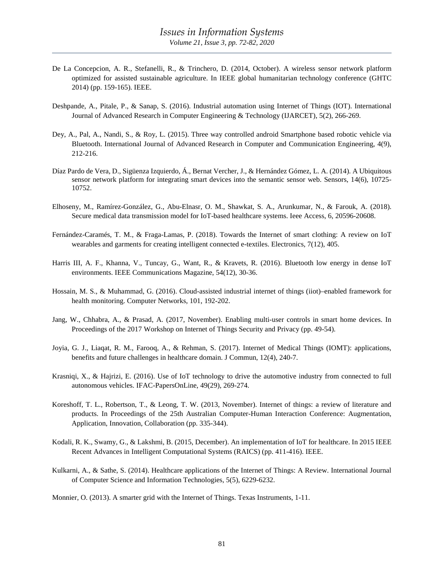- De La Concepcion, A. R., Stefanelli, R., & Trinchero, D. (2014, October). A wireless sensor network platform optimized for assisted sustainable agriculture. In IEEE global humanitarian technology conference (GHTC 2014) (pp. 159-165). IEEE.
- Deshpande, A., Pitale, P., & Sanap, S. (2016). Industrial automation using Internet of Things (IOT). International Journal of Advanced Research in Computer Engineering & Technology (IJARCET), 5(2), 266-269.
- Dey, A., Pal, A., Nandi, S., & Roy, L. (2015). Three way controlled android Smartphone based robotic vehicle via Bluetooth. International Journal of Advanced Research in Computer and Communication Engineering, 4(9), 212-216.
- Díaz Pardo de Vera, D., Sigüenza Izquierdo, Á., Bernat Vercher, J., & Hernández Gómez, L. A. (2014). A Ubiquitous sensor network platform for integrating smart devices into the semantic sensor web. Sensors, 14(6), 10725- 10752.
- Elhoseny, M., Ramírez-González, G., Abu-Elnasr, O. M., Shawkat, S. A., Arunkumar, N., & Farouk, A. (2018). Secure medical data transmission model for IoT-based healthcare systems. Ieee Access, 6, 20596-20608.
- Fernández-Caramés, T. M., & Fraga-Lamas, P. (2018). Towards the Internet of smart clothing: A review on IoT wearables and garments for creating intelligent connected e-textiles. Electronics, 7(12), 405.
- Harris III, A. F., Khanna, V., Tuncay, G., Want, R., & Kravets, R. (2016). Bluetooth low energy in dense IoT environments. IEEE Communications Magazine, 54(12), 30-36.
- Hossain, M. S., & Muhammad, G. (2016). Cloud-assisted industrial internet of things (iiot)–enabled framework for health monitoring. Computer Networks, 101, 192-202.
- Jang, W., Chhabra, A., & Prasad, A. (2017, November). Enabling multi-user controls in smart home devices. In Proceedings of the 2017 Workshop on Internet of Things Security and Privacy (pp. 49-54).
- Joyia, G. J., Liaqat, R. M., Farooq, A., & Rehman, S. (2017). Internet of Medical Things (IOMT): applications, benefits and future challenges in healthcare domain. J Commun, 12(4), 240-7.
- Krasniqi, X., & Hajrizi, E. (2016). Use of IoT technology to drive the automotive industry from connected to full autonomous vehicles. IFAC-PapersOnLine, 49(29), 269-274.
- Koreshoff, T. L., Robertson, T., & Leong, T. W. (2013, November). Internet of things: a review of literature and products. In Proceedings of the 25th Australian Computer-Human Interaction Conference: Augmentation, Application, Innovation, Collaboration (pp. 335-344).
- Kodali, R. K., Swamy, G., & Lakshmi, B. (2015, December). An implementation of IoT for healthcare. In 2015 IEEE Recent Advances in Intelligent Computational Systems (RAICS) (pp. 411-416). IEEE.
- Kulkarni, A., & Sathe, S. (2014). Healthcare applications of the Internet of Things: A Review. International Journal of Computer Science and Information Technologies, 5(5), 6229-6232.

Monnier, O. (2013). A smarter grid with the Internet of Things. Texas Instruments, 1-11.